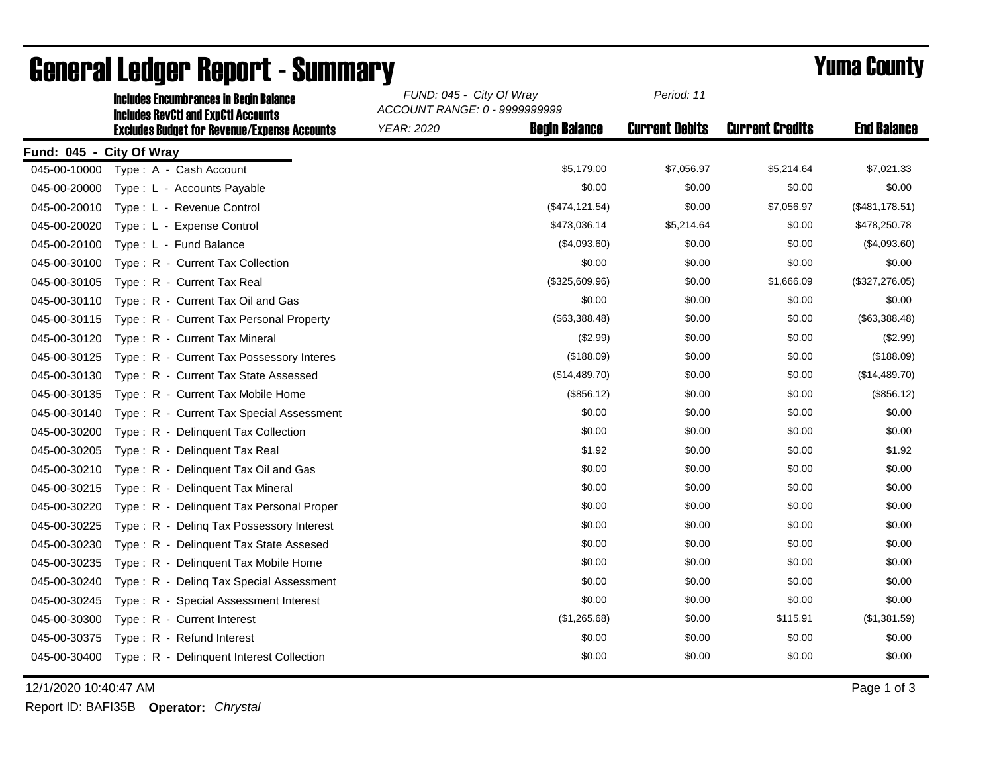|                          | <b>Includes Encumbrances in Begin Balance</b><br><b>Includes RevCtI and ExpCtI Accounts</b><br><b>Excludes Budget for Revenue/Expense Accounts</b> | FUND: 045 - City Of Wray<br>ACCOUNT RANGE: 0 - 9999999999 |                      | Period: 11            |                        |                    |
|--------------------------|----------------------------------------------------------------------------------------------------------------------------------------------------|-----------------------------------------------------------|----------------------|-----------------------|------------------------|--------------------|
|                          |                                                                                                                                                    | <b>YEAR: 2020</b>                                         | <b>Begin Balance</b> | <b>Current Debits</b> | <b>Current Credits</b> | <b>End Balance</b> |
| Fund: 045 - City Of Wray |                                                                                                                                                    |                                                           |                      |                       |                        |                    |
| 045-00-10000             | Type: A - Cash Account                                                                                                                             |                                                           | \$5,179.00           | \$7,056.97            | \$5,214.64             | \$7,021.33         |
| 045-00-20000             | Type: L - Accounts Payable                                                                                                                         |                                                           | \$0.00               | \$0.00                | \$0.00                 | \$0.00             |
| 045-00-20010             | Type: L - Revenue Control                                                                                                                          |                                                           | (\$474, 121.54)      | \$0.00                | \$7,056.97             | (\$481,178.51)     |
| 045-00-20020             | Type: L - Expense Control                                                                                                                          |                                                           | \$473,036.14         | \$5,214.64            | \$0.00                 | \$478,250.78       |
| 045-00-20100             | Type: L - Fund Balance                                                                                                                             |                                                           | (\$4,093.60)         | \$0.00                | \$0.00                 | (\$4,093.60)       |
| 045-00-30100             | Type: R - Current Tax Collection                                                                                                                   |                                                           | \$0.00               | \$0.00                | \$0.00                 | \$0.00             |
| 045-00-30105             | Type: R - Current Tax Real                                                                                                                         |                                                           | (\$325,609.96)       | \$0.00                | \$1,666.09             | (\$327,276.05)     |
| 045-00-30110             | Type: R - Current Tax Oil and Gas                                                                                                                  |                                                           | \$0.00               | \$0.00                | \$0.00                 | \$0.00             |
| 045-00-30115             | Type: R - Current Tax Personal Property                                                                                                            |                                                           | (\$63,388.48)        | \$0.00                | \$0.00                 | (\$63,388.48)      |
| 045-00-30120             | Type: R - Current Tax Mineral                                                                                                                      |                                                           | (\$2.99)             | \$0.00                | \$0.00                 | (\$2.99)           |
| 045-00-30125             | Type: R - Current Tax Possessory Interes                                                                                                           |                                                           | (\$188.09)           | \$0.00                | \$0.00                 | (\$188.09)         |
| 045-00-30130             | Type: R - Current Tax State Assessed                                                                                                               |                                                           | (\$14,489.70)        | \$0.00                | \$0.00                 | (\$14,489.70)      |
| 045-00-30135             | Type: R - Current Tax Mobile Home                                                                                                                  |                                                           | (\$856.12)           | \$0.00                | \$0.00                 | (\$856.12)         |
| 045-00-30140             | Type: R - Current Tax Special Assessment                                                                                                           |                                                           | \$0.00               | \$0.00                | \$0.00                 | \$0.00             |
| 045-00-30200             | Type: R - Delinquent Tax Collection                                                                                                                |                                                           | \$0.00               | \$0.00                | \$0.00                 | \$0.00             |
| 045-00-30205             | Type: R - Delinquent Tax Real                                                                                                                      |                                                           | \$1.92               | \$0.00                | \$0.00                 | \$1.92             |
| 045-00-30210             | Type: R - Delinquent Tax Oil and Gas                                                                                                               |                                                           | \$0.00               | \$0.00                | \$0.00                 | \$0.00             |
| 045-00-30215             | Type: R - Delinquent Tax Mineral                                                                                                                   |                                                           | \$0.00               | \$0.00                | \$0.00                 | \$0.00             |
| 045-00-30220             | Type: R - Delinquent Tax Personal Proper                                                                                                           |                                                           | \$0.00               | \$0.00                | \$0.00                 | \$0.00             |
| 045-00-30225             | Type: R - Deling Tax Possessory Interest                                                                                                           |                                                           | \$0.00               | \$0.00                | \$0.00                 | \$0.00             |
| 045-00-30230             | Type: R - Delinquent Tax State Assesed                                                                                                             |                                                           | \$0.00               | \$0.00                | \$0.00                 | \$0.00             |
| 045-00-30235             | Type: R - Delinquent Tax Mobile Home                                                                                                               |                                                           | \$0.00               | \$0.00                | \$0.00                 | \$0.00             |
| 045-00-30240             | Type: R - Deling Tax Special Assessment                                                                                                            |                                                           | \$0.00               | \$0.00                | \$0.00                 | \$0.00             |
| 045-00-30245             | Type: R - Special Assessment Interest                                                                                                              |                                                           | \$0.00               | \$0.00                | \$0.00                 | \$0.00             |
| 045-00-30300             | Type: R - Current Interest                                                                                                                         |                                                           | (\$1,265.68)         | \$0.00                | \$115.91               | (\$1,381.59)       |
| 045-00-30375             | Type: R - Refund Interest                                                                                                                          |                                                           | \$0.00               | \$0.00                | \$0.00                 | \$0.00             |
| 045-00-30400             | Type: R - Delinquent Interest Collection                                                                                                           |                                                           | \$0.00               | \$0.00                | \$0.00                 | \$0.00             |

## General Ledger Report - Summary **Example 2018** Yuma County

12/1/2020 10:40:47 AM Page 1 of 3

Report ID: BAFI35B **Operator:** *Chrystal*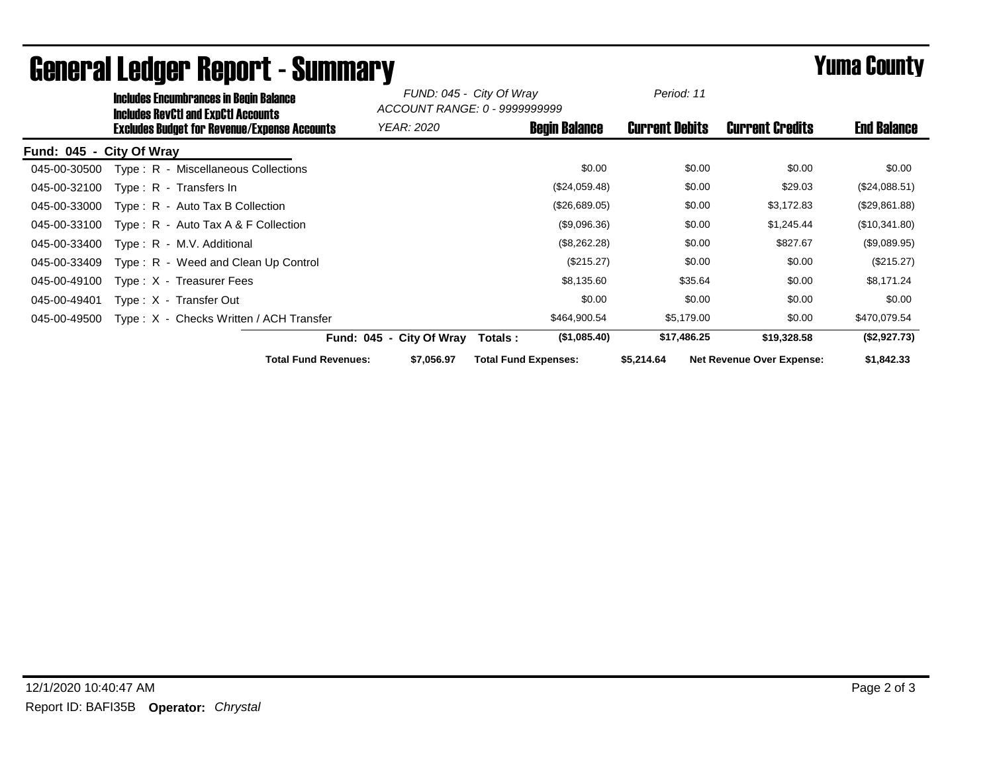|                          | <b>Includes Encumbrances in Begin Balance</b><br><b>Includes RevCtI and ExpCtI Accounts</b><br><b>Excludes Budget for Revenue/Expense Accounts</b> |                          | FUND: 045 - City Of Wray<br>ACCOUNT RANGE: 0 - 9999999999 |                             | Period: 11           |                       |         |                                  |                    |
|--------------------------|----------------------------------------------------------------------------------------------------------------------------------------------------|--------------------------|-----------------------------------------------------------|-----------------------------|----------------------|-----------------------|---------|----------------------------------|--------------------|
|                          |                                                                                                                                                    |                          | <b>YEAR: 2020</b>                                         |                             | <b>Begin Balance</b> | <b>Current Debits</b> |         | <b>Current Credits</b>           | <b>End Balance</b> |
| Fund: 045 - City Of Wray |                                                                                                                                                    |                          |                                                           |                             |                      |                       |         |                                  |                    |
| 045-00-30500             | Type: R - Miscellaneous Collections                                                                                                                |                          |                                                           |                             | \$0.00               |                       | \$0.00  | \$0.00                           | \$0.00             |
| 045-00-32100             | $Type: R - Transfers In$                                                                                                                           |                          |                                                           |                             | (\$24,059.48)        |                       | \$0.00  | \$29.03                          | (\$24,088.51)      |
| 045-00-33000             | $Type: R - Auto Tax B Collection$                                                                                                                  |                          |                                                           |                             | (\$26,689.05)        |                       | \$0.00  | \$3,172.83                       | (\$29,861.88)      |
| 045-00-33100             | Type: $R -$ Auto Tax A & F Collection                                                                                                              |                          |                                                           |                             | (\$9,096.36)         |                       | \$0.00  | \$1,245.44                       | (\$10,341.80)      |
| 045-00-33400             | Type: R - M.V. Additional                                                                                                                          |                          |                                                           |                             | (\$8,262.28)         |                       | \$0.00  | \$827.67                         | (\$9,089.95)       |
| 045-00-33409             | Type: R - Weed and Clean Up Control                                                                                                                |                          |                                                           |                             | (\$215.27)           |                       | \$0.00  | \$0.00                           | (\$215.27)         |
| 045-00-49100             | Type: X - Treasurer Fees                                                                                                                           |                          |                                                           |                             | \$8,135.60           |                       | \$35.64 | \$0.00                           | \$8,171.24         |
| 045-00-49401             | Type: X - Transfer Out                                                                                                                             |                          |                                                           |                             | \$0.00               |                       | \$0.00  | \$0.00                           | \$0.00             |
| 045-00-49500             | Type: X - Checks Written / ACH Transfer                                                                                                            |                          |                                                           |                             | \$464,900.54         | \$5,179.00            |         | \$0.00                           | \$470,079.54       |
|                          |                                                                                                                                                    | Fund: 045 - City Of Wray |                                                           | Totals:                     | (\$1,085.40)         | \$17,486.25           |         | \$19,328.58                      | (\$2,927.73)       |
|                          | <b>Total Fund Revenues:</b>                                                                                                                        |                          | \$7,056.97                                                | <b>Total Fund Expenses:</b> |                      | \$5,214.64            |         | <b>Net Revenue Over Expense:</b> | \$1,842.33         |

## General Ledger Report - Summary **Example 2018** Yuma County